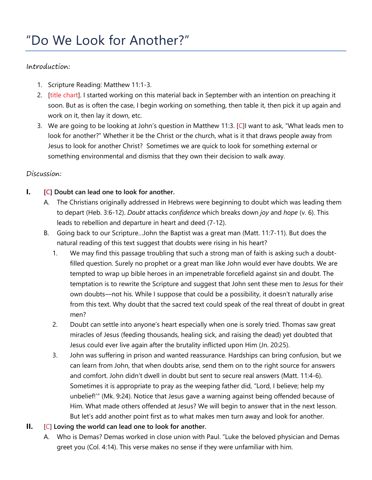## Introduction:

- 1. Scripture Reading: Matthew 11:1-3.
- 2. [title chart]. I started working on this material back in September with an intention on preaching it soon. But as is often the case, I begin working on something, then table it, then pick it up again and work on it, then lay it down, etc.
- 3. We are going to be looking at John's question in Matthew 11:3. [C]I want to ask, "What leads men to look for another?" Whether it be the Christ or the church, what is it that draws people away from Jesus to look for another Christ? Sometimes we are quick to look for something external or something environmental and dismiss that they own their decision to walk away.

# Discussion:

# **I. [C] Doubt can lead one to look for another.**

- A. The Christians originally addressed in Hebrews were beginning to doubt which was leading them to depart (Heb. 3:6-12). *Doubt* attacks *confidence* which breaks down *joy* and *hope* (v. 6). This leads to rebellion and departure in heart and deed (7-12).
- B. Going back to our Scripture…John the Baptist was a great man (Matt. 11:7-11). But does the natural reading of this text suggest that doubts were rising in his heart?
	- 1. We may find this passage troubling that such a strong man of faith is asking such a doubtfilled question. Surely no prophet or a great man like John would ever have doubts. We are tempted to wrap up bible heroes in an impenetrable forcefield against sin and doubt. The temptation is to rewrite the Scripture and suggest that John sent these men to Jesus for their own doubts—not his. While I suppose that could be a possibility, it doesn't naturally arise from this text. Why doubt that the sacred text could speak of the real threat of doubt in great men?
	- 2. Doubt can settle into anyone's heart especially when one is sorely tried. Thomas saw great miracles of Jesus (feeding thousands, healing sick, and raising the dead) yet doubted that Jesus could ever live again after the brutality inflicted upon Him (Jn. 20:25).
	- 3. John was suffering in prison and wanted reassurance. Hardships can bring confusion, but we can learn from John, that when doubts arise, send them on to the right source for answers and comfort. John didn't dwell in doubt but sent to secure real answers (Matt. 11:4-6). Sometimes it is appropriate to pray as the weeping father did, "Lord, I believe; help my unbelief!'" (Mk. 9:24). Notice that Jesus gave a warning against being offended because of Him. What made others offended at Jesus? We will begin to answer that in the next lesson. But let's add another point first as to what makes men turn away and look for another.

# **II.** [C] **Loving the world can lead one to look for another.**

A. Who is Demas? Demas worked in close union with Paul. "Luke the beloved physician and Demas greet you (Col. 4:14). This verse makes no sense if they were unfamiliar with him.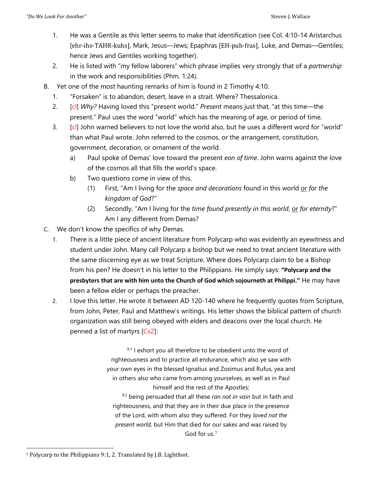- 1. He was a Gentile as this letter seems to make that identification (see Col. 4:10-14 Aristarchus [ehr-ihs-TAHR-kuhs], Mark, Jesus—Jews; Epaphras [EH-puh-fras], Luke, and Demas—Gentiles; hence Jews and Gentiles working together).
- 2. He is listed with "my fellow laborers" which phrase implies very strongly that of a *partnership* in the work and responsibilities (Phm. 1:24).
- B. Yet one of the most haunting remarks of him is found in 2 Timothy 4:10.
	- 1. "Forsaken" is to abandon, desert, leave in a strait. Where? Thessalonica.
	- 2. [cl] *Why?* Having loved this "present world." *Present* means just that, "at this time—the present." Paul uses the word "world" which has the meaning of age, or period of time.
	- 3. [cl] John warned believers to not love the world also, but he uses a different word for "world" than what Paul wrote. John referred to the cosmos, or the arrangement, constitution, government, decoration, or ornament of the world.
		- a) Paul spoke of Demas' love toward the present *eon of time*. John warns against the love of the cosmos all that fills the world's space.
		- b) Two questions come in view of this.
			- (1) First, "Am I living for the *space and decorations* found in this world or *for the kingdom of God*?"
			- (2) Secondly, "Am I living for the *time found presently in this world*, or *for eternity*?" Am I any different from Demas?
- C. We don't know the specifics of why Demas.
	- 1. There is a little piece of ancient literature from Polycarp who was evidently an eyewitness and student under John. Many call Polycarp a bishop but we need to treat ancient literature with the same discerning eye as we treat Scripture. Where does Polycarp claim to be a Bishop from his pen? He doesn't in his letter to the Philippians. He simply says: **"Polycarp and the presbyters that are with him unto the Church of God which sojourneth at Philippi."** He may have been a fellow elder or perhaps the preacher.
	- 2. I love this letter. He wrote it between AD 120-140 where he frequently quotes from Scripture, from John, Peter, Paul and Matthew's writings. His letter shows the biblical pattern of church organization was still being obeyed with elders and deacons over the local church. He penned a list of martyrs [Cx2]:

 $9:1$  I exhort you all therefore to be obedient unto the word of righteousness and to practice all endurance, which also ye saw with your own eyes in the blessed Ignatius and Zosimus and Rufus, yea and in others also who came from among yourselves, as well as in Paul himself and the rest of the Apostles; 9:2 being persuaded that all these *ran not in vain* but in faith and righteousness, and that they are in their due place in the presence of the Lord, with whom also they suffered. For they *loved not the present world*, but Him that died for our sakes and was raised by God for us.[1](#page-1-0)

<span id="page-1-0"></span> <sup>1</sup> Polycarp to the Philippians 9:1, 2. Translated by J.B. Lightfoot.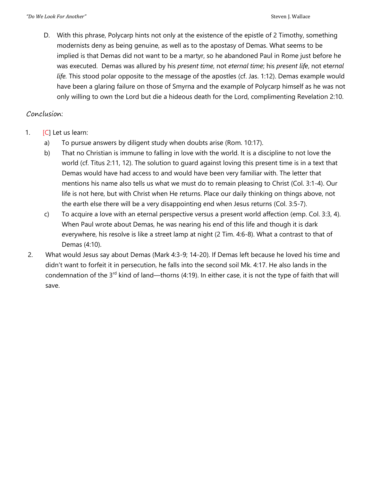D. With this phrase, Polycarp hints not only at the existence of the epistle of 2 Timothy, something modernists deny as being genuine, as well as to the apostasy of Demas. What seems to be implied is that Demas did not want to be a martyr, so he abandoned Paul in Rome just before he was executed. Demas was allured by his *present time*, not *eternal time*; his *present life*, not ete*rnal life.* This stood polar opposite to the message of the apostles (cf. Jas. 1:12). Demas example would have been a glaring failure on those of Smyrna and the example of Polycarp himself as he was not only willing to own the Lord but die a hideous death for the Lord, complimenting Revelation 2:10.

## Conclusion:

- 1. [C] Let us learn:
	- a) To pursue answers by diligent study when doubts arise (Rom. 10:17).
	- b) That no Christian is immune to falling in love with the world. It is a discipline to not love the world (cf. Titus 2:11, 12). The solution to guard against loving this present time is in a text that Demas would have had access to and would have been very familiar with. The letter that mentions his name also tells us what we must do to remain pleasing to Christ (Col. 3:1-4). Our life is not here, but with Christ when He returns. Place our daily thinking on things above, not the earth else there will be a very disappointing end when Jesus returns (Col. 3:5-7).
	- c) To acquire a love with an eternal perspective versus a present world affection (emp. Col. 3:3, 4). When Paul wrote about Demas, he was nearing his end of this life and though it is dark everywhere, his resolve is like a street lamp at night (2 Tim. 4:6-8). What a contrast to that of Demas (4:10).
- 2. What would Jesus say about Demas (Mark 4:3-9; 14-20). If Demas left because he loved his time and didn't want to forfeit it in persecution, he falls into the second soil Mk. 4:17. He also lands in the condemnation of the 3<sup>rd</sup> kind of land—thorns (4:19). In either case, it is not the type of faith that will save.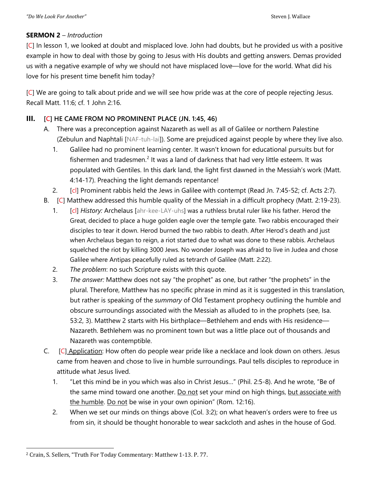### **SERMON 2** – *Introduction*

[C] In lesson 1, we looked at doubt and misplaced love. John had doubts, but he provided us with a positive example in how to deal with those by going to Jesus with His doubts and getting answers. Demas provided us with a negative example of why we should not have misplaced love—love for the world. What did his love for his present time benefit him today?

[C] We are going to talk about pride and we will see how pride was at the core of people rejecting Jesus. Recall Matt. 11:6; cf. 1 John 2:16.

### **III. [C] HE CAME FROM NO PROMINENT PLACE (JN. 1:45, 46)**

- A. There was a preconception against Nazareth as well as all of Galilee or northern Palestine (Zebulun and Naphtali [NAF-tuh-lai]). Some are prejudiced against people by where they live also.
	- 1. Galilee had no prominent learning center. It wasn't known for educational pursuits but for fishermen and tradesmen.<sup>[2](#page-3-0)</sup> It was a land of darkness that had very little esteem. It was populated with Gentiles. In this dark land, the light first dawned in the Messiah's work (Matt. 4:14-17). Preaching the light demands repentance!
	- 2. [cl] Prominent rabbis held the Jews in Galilee with contempt (Read Jn. 7:45-52; cf. Acts 2:7).
- B. [C] Matthew addressed this humble quality of the Messiah in a difficult prophecy (Matt. 2:19-23).
	- 1. [cl] *History:* Archelaus [ahr-kee-LAY-uhs] was a ruthless brutal ruler like his father. Herod the Great, decided to place a huge golden eagle over the temple gate. Two rabbis encouraged their disciples to tear it down. Herod burned the two rabbis to death. After Herod's death and just when Archelaus began to reign, a riot started due to what was done to these rabbis. Archelaus squelched the riot by killing 3000 Jews. No wonder Joseph was afraid to live in Judea and chose Galilee where Antipas peacefully ruled as tetrarch of Galilee (Matt. 2:22).
	- 2. *The problem*: no such Scripture exists with this quote.
	- 3. *The answer:* Matthew does not say "the prophet" as one, but rather "the prophets" in the plural. Therefore, Matthew has no specific phrase in mind as it is suggested in this translation, but rather is speaking of the *summary* of Old Testament prophecy outlining the humble and obscure surroundings associated with the Messiah as alluded to in the prophets (see, Isa. 53:2, 3). Matthew 2 starts with His birthplace—Bethlehem and ends with His residence— Nazareth. Bethlehem was no prominent town but was a little place out of thousands and Nazareth was contemptible.
- C. [C] Application: How often do people wear pride like a necklace and look down on others. Jesus came from heaven and chose to live in humble surroundings. Paul tells disciples to reproduce in attitude what Jesus lived.
	- 1. "Let this mind be in you which was also in Christ Jesus…" (Phil. 2:5-8). And he wrote, "Be of the same mind toward one another. Do not set your mind on high things, but associate with the humble. Do not be wise in your own opinion" (Rom. 12:16).
	- 2. When we set our minds on things above (Col. 3:2); on what heaven's orders were to free us from sin, it should be thought honorable to wear sackcloth and ashes in the house of God.

<span id="page-3-0"></span> <sup>2</sup> Crain, S. Sellers, "Truth For Today Commentary: Matthew 1-13. P. 77.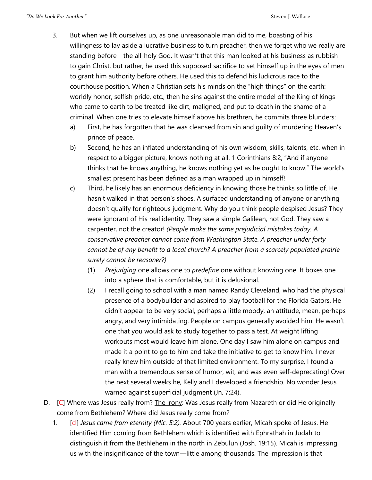- 3. But when we lift ourselves up, as one unreasonable man did to me, boasting of his willingness to lay aside a lucrative business to turn preacher, then we forget who we really are standing before—the all-holy God. It wasn't that this man looked at his business as rubbish to gain Christ, but rather, he used this supposed sacrifice to set himself up in the eyes of men to grant him authority before others. He used this to defend his ludicrous race to the courthouse position. When a Christian sets his minds on the "high things" on the earth: worldly honor, selfish pride, etc., then he sins against the entire model of the King of kings who came to earth to be treated like dirt, maligned, and put to death in the shame of a criminal. When one tries to elevate himself above his brethren, he commits three blunders:
	- a) First, he has forgotten that he was cleansed from sin and guilty of murdering Heaven's prince of peace.
	- b) Second, he has an inflated understanding of his own wisdom, skills, talents, etc. when in respect to a bigger picture, knows nothing at all. 1 Corinthians 8:2, "And if anyone thinks that he knows anything, he knows nothing yet as he ought to know." The world's smallest present has been defined as a man wrapped up in himself!
	- c) Third, he likely has an enormous deficiency in knowing those he thinks so little of. He hasn't walked in that person's shoes. A surfaced understanding of anyone or anything doesn't qualify for righteous judgment. Why do you think people despised Jesus? They were ignorant of His real identity. They saw a simple Galilean, not God. They saw a carpenter, not the creator! *(People make the same prejudicial mistakes today. A conservative preacher cannot come from Washington State. A preacher under forty cannot be of any benefit to a local church? A preacher from a scarcely populated prairie surely cannot be reasoner?)*
		- (1) *Prejudging* one allows one to *predefine* one without knowing one. It boxes one into a sphere that is comfortable, but it is delusional.
		- (2) I recall going to school with a man named Randy Cleveland, who had the physical presence of a bodybuilder and aspired to play football for the Florida Gators. He didn't appear to be very social, perhaps a little moody, an attitude, mean, perhaps angry, and very intimidating. People on campus generally avoided him. He wasn't one that you would ask to study together to pass a test. At weight lifting workouts most would leave him alone. One day I saw him alone on campus and made it a point to go to him and take the initiative to get to know him. I never really knew him outside of that limited environment. To my surprise, I found a man with a tremendous sense of humor, wit, and was even self-deprecating! Over the next several weeks he, Kelly and I developed a friendship. No wonder Jesus warned against superficial judgment (Jn. 7:24).
- D. [C] Where was Jesus really from? The *irony*: Was Jesus really from Nazareth or did He originally come from Bethlehem? Where did Jesus really come from?
	- 1. [cl] *Jesus came from eternity (Mic. 5:2).* About 700 years earlier, Micah spoke of Jesus. He identified Him coming from Bethlehem which is identified with Ephrathah in Judah to distinguish it from the Bethlehem in the north in Zebulun (Josh. 19:15). Micah is impressing us with the insignificance of the town—little among thousands. The impression is that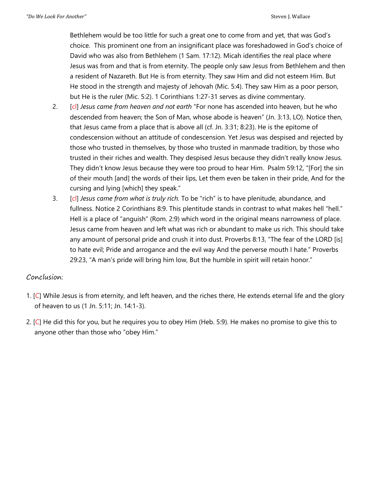Bethlehem would be too little for such a great one to come from and yet, that was God's choice. This prominent one from an insignificant place was foreshadowed in God's choice of David who was also from Bethlehem (1 Sam. 17:12). Micah identifies the real place where Jesus was from and that is from eternity. The people only saw Jesus from Bethlehem and then a resident of Nazareth. But He is from eternity. They saw Him and did not esteem Him. But He stood in the strength and majesty of Jehovah (Mic. 5:4). They saw Him as a poor person, but He is the ruler (Mic. 5:2). 1 Corinthians 1:27-31 serves as divine commentary.

- 2. [cl] *Jesus came from heaven and not earth* "For none has ascended into heaven, but he who descended from heaven; the Son of Man, whose abode is heaven" (Jn. 3:13, LO). Notice then, that Jesus came from a place that is above all (cf. Jn. 3:31; 8:23). He is the epitome of condescension without an attitude of condescension. Yet Jesus was despised and rejected by those who trusted in themselves, by those who trusted in manmade tradition, by those who trusted in their riches and wealth. They despised Jesus because they didn't really know Jesus. They didn't know Jesus because they were too proud to hear Him. Psalm 59:12, "[For] the sin of their mouth [and] the words of their lips, Let them even be taken in their pride, And for the cursing and lying [which] they speak."
- 3. [cl] *Jesus came from what is truly rich.* To be "rich" is to have plenitude, abundance, and fullness. Notice 2 Corinthians 8:9. This plentitude stands in contrast to what makes hell "hell." Hell is a place of "anguish" (Rom. 2:9) which word in the original means narrowness of place. Jesus came from heaven and left what was rich or abundant to make us rich. This should take any amount of personal pride and crush it into dust. Proverbs 8:13, "The fear of the LORD [is] to hate evil; Pride and arrogance and the evil way And the perverse mouth I hate." Proverbs 29:23, "A man's pride will bring him low, But the humble in spirit will retain honor."

#### Conclusion:

- 1. [C] While Jesus is from eternity, and left heaven, and the riches there, He extends eternal life and the glory of heaven to us (1 Jn. 5:11; Jn. 14:1-3).
- 2. [C] He did this for you, but he requires you to obey Him (Heb. 5:9). He makes no promise to give this to anyone other than those who "obey Him."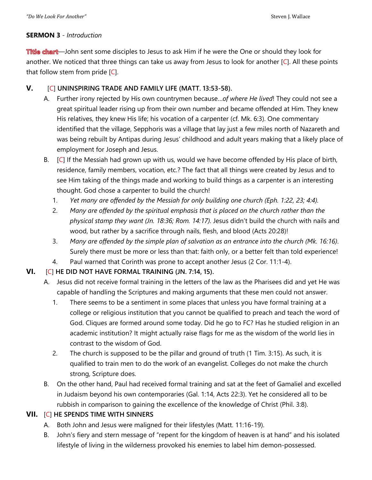#### **SERMON 3** - *Introduction*

Title chart—John sent some disciples to Jesus to ask Him if he were the One or should they look for another. We noticed that three things can take us away from Jesus to look for another [C]. All these points that follow stem from pride  $[C]$ .

### **V.** [C] **UNINSPIRING TRADE AND FAMILY LIFE (MATT. 13:53-58).**

- A. Further irony rejected by His own countrymen because…*of where He lived*! They could not see a great spiritual leader rising up from their own number and became offended at Him. They knew His relatives, they knew His life; his vocation of a carpenter (cf. Mk. 6:3). One commentary identified that the village, Sepphoris was a village that lay just a few miles north of Nazareth and was being rebuilt by Antipas during Jesus' childhood and adult years making that a likely place of employment for Joseph and Jesus.
- B.  $[C]$  If the Messiah had grown up with us, would we have become offended by His place of birth, residence, family members, vocation, etc.? The fact that all things were created by Jesus and to see Him taking of the things made and working to build things as a carpenter is an interesting thought. God chose a carpenter to build the church!
	- 1. *Yet many are offended by the Messiah for only building one church (Eph. 1:22, 23; 4:4).*
	- 2. *Many are offended by the spiritual emphasis that is placed on the church rather than the physical stamp they want (Jn. 18:36; Rom. 14:17).* Jesus didn't build the church with nails and wood, but rather by a sacrifice through nails, flesh, and blood (Acts 20:28)!
	- 3. *Many are offended by the simple plan of salvation as an entrance into the church (Mk. 16:16)*. Surely there must be more or less than that: faith only, or a better felt than told experience!
	- 4. Paul warned that Corinth was prone to accept another Jesus (2 Cor. 11:1-4).

## **VI.** [C] **HE DID NOT HAVE FORMAL TRAINING (JN. 7:14, 15).**

- A. Jesus did not receive formal training in the letters of the law as the Pharisees did and yet He was capable of handling the Scriptures and making arguments that these men could not answer.
	- 1. There seems to be a sentiment in some places that unless you have formal training at a college or religious institution that you cannot be qualified to preach and teach the word of God. Cliques are formed around some today. Did he go to FC? Has he studied religion in an academic institution? It might actually raise flags for me as the wisdom of the world lies in contrast to the wisdom of God.
	- 2. The church is supposed to be the pillar and ground of truth (1 Tim. 3:15). As such, it is qualified to train men to do the work of an evangelist. Colleges do not make the church strong, Scripture does.
- B. On the other hand, Paul had received formal training and sat at the feet of Gamaliel and excelled in Judaism beyond his own contemporaries (Gal. 1:14, Acts 22:3). Yet he considered all to be rubbish in comparison to gaining the excellence of the knowledge of Christ (Phil. 3:8).

## **VII.** [C] **HE SPENDS TIME WITH SINNERS**

- A. Both John and Jesus were maligned for their lifestyles (Matt. 11:16-19).
- B. John's fiery and stern message of "repent for the kingdom of heaven is at hand" and his isolated lifestyle of living in the wilderness provoked his enemies to label him demon-possessed.